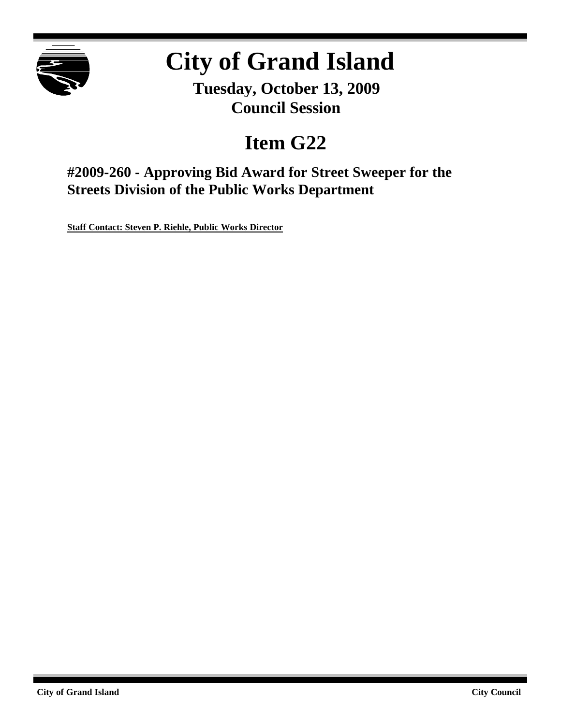

# **City of Grand Island**

**Tuesday, October 13, 2009 Council Session**

## **Item G22**

**#2009-260 - Approving Bid Award for Street Sweeper for the Streets Division of the Public Works Department**

**Staff Contact: Steven P. Riehle, Public Works Director**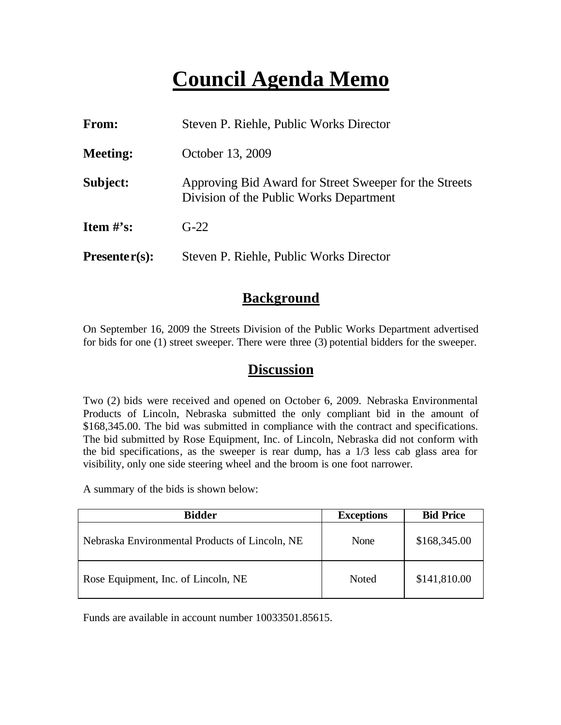## **Council Agenda Memo**

| From:                          | Steven P. Riehle, Public Works Director                                                           |  |
|--------------------------------|---------------------------------------------------------------------------------------------------|--|
| <b>Meeting:</b>                | October 13, 2009                                                                                  |  |
| Subject:                       | Approving Bid Award for Street Sweeper for the Streets<br>Division of the Public Works Department |  |
| <b>Item <math>\#</math>'s:</b> | $G-22$                                                                                            |  |
| $Presenter(s):$                | Steven P. Riehle, Public Works Director                                                           |  |

### **Background**

On September 16, 2009 the Streets Division of the Public Works Department advertised for bids for one (1) street sweeper. There were three (3) potential bidders for the sweeper.

#### **Discussion**

Two (2) bids were received and opened on October 6, 2009. Nebraska Environmental Products of Lincoln, Nebraska submitted the only compliant bid in the amount of \$168,345.00. The bid was submitted in compliance with the contract and specifications. The bid submitted by Rose Equipment, Inc. of Lincoln, Nebraska did not conform with the bid specifications, as the sweeper is rear dump, has a 1/3 less cab glass area for visibility, only one side steering wheel and the broom is one foot narrower.

A summary of the bids is shown below:

| <b>Bidder</b>                                  | <b>Exceptions</b> | <b>Bid Price</b> |
|------------------------------------------------|-------------------|------------------|
| Nebraska Environmental Products of Lincoln, NE | None              | \$168,345.00     |
| Rose Equipment, Inc. of Lincoln, NE            | Noted             | \$141,810.00     |

Funds are available in account number 10033501.85615.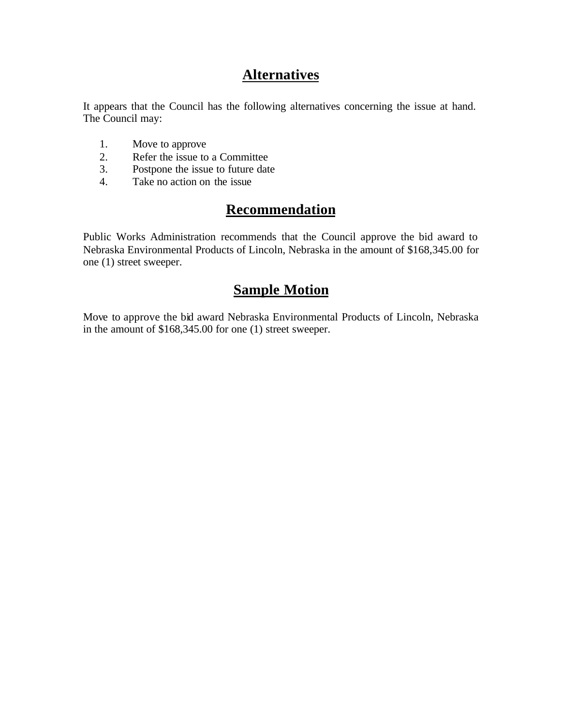## **Alternatives**

It appears that the Council has the following alternatives concerning the issue at hand. The Council may:

- 1. Move to approve
- 2. Refer the issue to a Committee<br>3. Postpone the issue to future date
- Postpone the issue to future date
- 4. Take no action on the issue

## **Recommendation**

Public Works Administration recommends that the Council approve the bid award to Nebraska Environmental Products of Lincoln, Nebraska in the amount of \$168,345.00 for one (1) street sweeper.

### **Sample Motion**

Move to approve the bid award Nebraska Environmental Products of Lincoln, Nebraska in the amount of \$168,345.00 for one (1) street sweeper.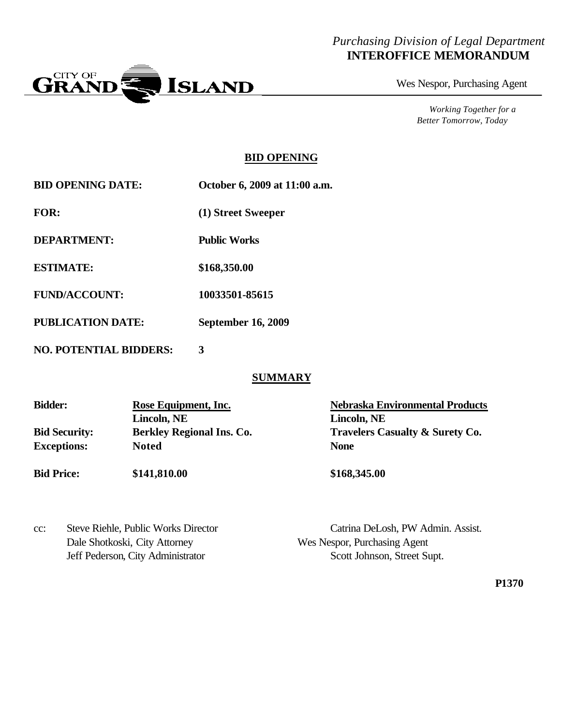#### *Purchasing Division of Legal Department* **INTEROFFICE MEMORANDUM**



Wes Nespor, Purchasing Agent

*Working Together for a Better Tomorrow, Today*

#### **BID OPENING**

| <b>BID OPENING DATE:</b> | October 6, 2009 at 11:00 a.m. |
|--------------------------|-------------------------------|
|                          |                               |

**FOR: (1) Street Sweeper**

**DEPARTMENT: Public Works**

**ESTIMATE: \$168,350.00**

**FUND/ACCOUNT: 10033501-85615**

**PUBLICATION DATE: September 16, 2009**

**NO. POTENTIAL BIDDERS: 3**

#### **SUMMARY**

| <b>Bidder:</b>       | Rose Equipment, Inc.             | <b>Nebraska Environmental Products</b>     |  |
|----------------------|----------------------------------|--------------------------------------------|--|
|                      | Lincoln, NE                      | Lincoln, NE                                |  |
| <b>Bid Security:</b> | <b>Berkley Regional Ins. Co.</b> | <b>Travelers Casualty &amp; Surety Co.</b> |  |
| <b>Exceptions:</b>   | <b>Noted</b>                     | <b>None</b>                                |  |
| <b>Bid Price:</b>    | \$141,810.00                     | \$168,345.00                               |  |

| cc: | Steve Riehle, Public Works Director |
|-----|-------------------------------------|
|     | Dale Shotkoski, City Attorney       |
|     | Jeff Pederson. City Administrator   |

Catrina DeLosh, PW Admin. Assist. Wes Nespor, Purchasing Agent Pederson, City Administrator Scott Johnson, Street Supt.

**P1370**